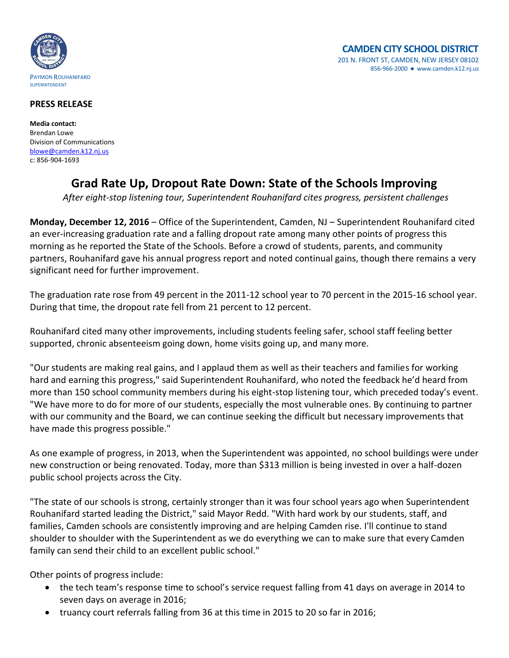



## **PRESS RELEASE**

**Media contact:** Brendan Lowe Division of Communications [blowe@camden.k12.nj.us](mailto:blowe@camden.k12.nj.us) c: 856-904-1693

## **Grad Rate Up, Dropout Rate Down: State of the Schools Improving**

*After eight-stop listening tour, Superintendent Rouhanifard cites progress, persistent challenges*

**Monday, December 12, 2016** – Office of the Superintendent, Camden, NJ – Superintendent Rouhanifard cited an ever-increasing graduation rate and a falling dropout rate among many other points of progress this morning as he reported the State of the Schools. Before a crowd of students, parents, and community partners, Rouhanifard gave his annual progress report and noted continual gains, though there remains a very significant need for further improvement.

The graduation rate rose from 49 percent in the 2011-12 school year to 70 percent in the 2015-16 school year. During that time, the dropout rate fell from 21 percent to 12 percent.

Rouhanifard cited many other improvements, including students feeling safer, school staff feeling better supported, chronic absenteeism going down, home visits going up, and many more.

"Our students are making real gains, and I applaud them as well as their teachers and families for working hard and earning this progress," said Superintendent Rouhanifard, who noted the feedback he'd heard from more than 150 school community members during his eight-stop listening tour, which preceded today's event. "We have more to do for more of our students, especially the most vulnerable ones. By continuing to partner with our community and the Board, we can continue seeking the difficult but necessary improvements that have made this progress possible."

As one example of progress, in 2013, when the Superintendent was appointed, no school buildings were under new construction or being renovated. Today, more than \$313 million is being invested in over a half-dozen public school projects across the City.

"The state of our schools is strong, certainly stronger than it was four school years ago when Superintendent Rouhanifard started leading the District," said Mayor Redd. "With hard work by our students, staff, and families, Camden schools are consistently improving and are helping Camden rise. I'll continue to stand shoulder to shoulder with the Superintendent as we do everything we can to make sure that every Camden family can send their child to an excellent public school."

Other points of progress include:

- the tech team's response time to school's service request falling from 41 days on average in 2014 to seven days on average in 2016;
- truancy court referrals falling from 36 at this time in 2015 to 20 so far in 2016;